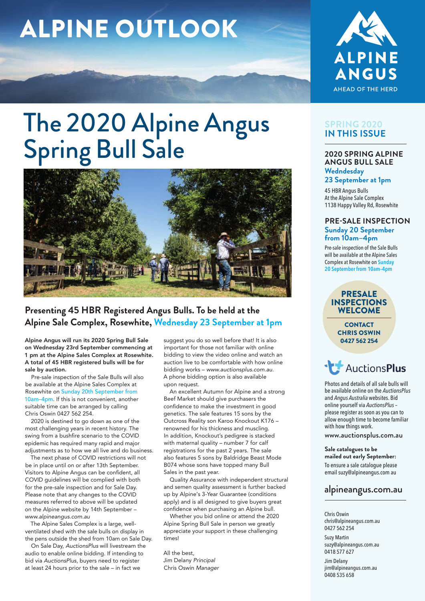# ALPINE OUTLOOK



# The 2020 Alpine Angus Spring Bull Sale



# **Presenting 45 HBR Registered Angus Bulls. To be held at the Alpine Sale Complex, Rosewhite, Wednesday 23 September at 1pm**

Alpine Angus will run its 2020 Spring Bull Sale on Wednesday 23rd September commencing at 1 pm at the Alpine Sales Complex at Rosewhite. A total of 45 HBR registered bulls will be for sale by auction.

Pre-sale inspection of the Sale Bulls will also be available at the Alpine Sales Complex at Rosewhite on Sunday 20th September from 10am–4pm. If this is not convenient, another suitable time can be arranged by calling Chris Oswin 0427 562 254.

2020 is destined to go down as one of the most challenging years in recent history. The swing from a bushfire scenario to the COVID epidemic has required many rapid and major adjustments as to how we all live and do business.

The next phase of COVID restrictions will not be in place until on or after 13th September. Visitors to Alpine Angus can be confident, all COVID guidelines will be complied with both for the pre-sale inspection and for Sale Day. Please note that any changes to the COVID measures referred to above will be updated on the Alpine website by 14th September – *www.alpineangus.com.au*

The Alpine Sales Complex is a large, wellventilated shed with the sale bulls on display in the pens outside the shed from 10am on Sale Day.

On Sale Day, *AuctionsPlus* will livestream the audio to enable online bidding. If intending to bid via *AuctionsPlus*, buyers need to register at least 24 hours prior to the sale – in fact we

suggest you do so well before that! It is also important for those not familiar with online bidding to view the video online and watch an auction live to be comfortable with how online bidding works – *www.auctionsplus.com.au*. A phone bidding option is also available upon request.

An excellent Autumn for Alpine and a strong Beef Market should give purchasers the confidence to make the investment in good genetics. The sale features 15 sons by the Outcross Reality son Karoo Knockout K176 – renowned for his thickness and muscling. In addition, Knockout's pedigree is stacked with maternal quality – number 7 for calf registrations for the past 2 years. The sale also features 5 sons by Baldridge Beast Mode B074 whose sons have topped many Bull Sales in the past year.

Quality Assurance with independent structural and semen quality assessment is further backed up by Alpine's 3-Year Guarantee (conditions apply) and is all designed to give buyers great confidence when purchasing an Alpine bull.

Whether you bid online or attend the 2020 Alpine Spring Bull Sale in person we greatly appreciate your support in these challenging times!

All the best, Jim Delany *Principal* Chris Oswin *Manager*

### **SPRING 2020 IN THIS ISSUE**

#### **2020 SPRING ALPINE ANGUS BULL SALE Wedndesday**

**23 September at 1pm** 

45 HBR Angus Bulls At the Alpine Sale Complex 1138 Happy Valley Rd, Rosewhite

#### **PRE-SALE INSPECTION Sunday 20 September from 10am–4pm**

Pre-sale inspection of the Sale Bulls will be available at the Alpine Sales Complex at Rosewhite on **Sunday 20 September from 10am–4pm**

PRESALE INSPECTIONS **WELCOME** 

> **CONTACT** CHRIS OSWIN 0427 562 254

**AuctionsPlus** 

Photos and details of all sale bulls will be available online on the *AuctionsPlus* and *Angus Australia* websites. Bid online yourself via *AuctionsPlus* – please register as soon as you can to allow enough time to become familiar with how things work.

www.auctionsplus.com.au

#### **Sale catalogues to be mailed out early September:** To ensure a sale catalogue please email suzy@alpineangus.com au

# alpineangus.com.au

Chris Oswin chris@alpineangus.com.au 0427 562 254

Suzy Martin suzy@alpineangus.com.au 0418 577 627

Jim Delany jim@alpineangus.com.au 0408 535 658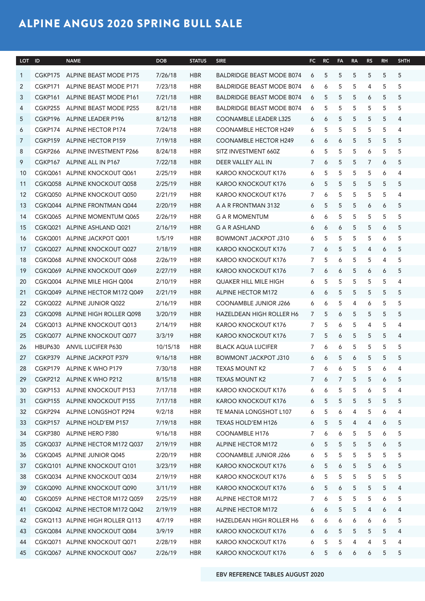# ALPINE ANGUS 2020 SPRING BULL SALE

| LOT ID |           | <b>NAME</b>                        | <b>DOB</b> | <b>STATUS</b> | <b>SIRE</b>                      |                |             | FC RC FA RA RS RH SHTH     |                     |                       |            |     |
|--------|-----------|------------------------------------|------------|---------------|----------------------------------|----------------|-------------|----------------------------|---------------------|-----------------------|------------|-----|
|        |           | CGKP175 ALPINE BEAST MODE P175     | 7/26/18    | <b>HBR</b>    | <b>BALDRIDGE BEAST MODE B074</b> | 6              | 5           | - 5                        | 5<br>- 5            |                       | 5 5        |     |
|        | 2 CGKP171 | ALPINE BEAST MODE P171             | 7/23/18    | HBR           | BALDRIDGE BEAST MODE B074        | 6              | 6           | - 5                        | - 5<br>4            | 5                     | $-5$       |     |
| 3      |           | CGKP161 ALPINE BEAST MODE P161     | 7/21/18    | <b>HBR</b>    | <b>BALDRIDGE BEAST MODE B074</b> | 6              | -5          | 5 5                        | 6                   |                       | 5 5        |     |
| 4      |           | CGKP255 ALPINE BEAST MODE P255     | 8/21/18    | <b>HBR</b>    | <b>BALDRIDGE BEAST MODE B074</b> | 6              | 5           | $5^{\circ}$                | 5<br>5              |                       | 5 5        |     |
| 5      |           | CGKP196 ALPINE LEADER P196         | 8/12/18    | <b>HBR</b>    | COONAMBLE LEADER L325            | 6 6            |             | $5^{\circ}$<br>$5^{\circ}$ |                     | 5 5 4                 |            |     |
|        |           | CGKP174 ALPINE HECTOR P174         | 7/24/18    | HBR           | COONAMBLE HECTOR H249            | 6              | 5           | 5                          | 5<br>5 <sup>5</sup> | $5^{\circ}$           | 4          |     |
| 6      |           |                                    |            |               |                                  |                |             |                            |                     |                       |            |     |
|        |           | CGKP159 ALPINE HECTOR P159         | 7/19/18    | HBR           | <b>COONAMBLE HECTOR H249</b>     | 66             |             | 6                          | 5                   | 5 5 5                 |            |     |
| 8      |           | CGKP266 ALPINE INVESTMENT P266     | 8/24/18    | <b>HBR</b>    | SITZ INVESTMENT 660Z             | 6              | 5           | - 5                        | - 5<br>6            | 5                     | $-5$       |     |
| 9      |           | CGKP167 ALPINE ALL IN P167         | 7/22/18    | <b>HBR</b>    | DEER VALLEY ALL IN               | 76             |             | 5<br>- 5                   |                     | 7 6 5                 |            |     |
|        |           | 10 CGKQ061 ALPINE KNOCKOUT Q061    | 2/25/19    | <b>HBR</b>    | KAROO KNOCKOUT K176              | 6              | $5^{\circ}$ | 5                          | 5<br>5              |                       | 64         |     |
|        |           | 11 CGKQ058 ALPINE KNOCKOUT Q058    | 2/25/19    | <b>HBR</b>    | KAROO KNOCKOUT K176              | 6 5            |             | 5<br>- 5                   | 5                   |                       | 5 5        |     |
|        |           | 12 CGKQ050 ALPINE KNOCKOUT Q050    | 2/21/19    | <b>HBR</b>    | KAROO KNOCKOUT K176              |                | $\sigma$    |                            | 5<br>5              | 5                     |            | -4  |
|        |           | 13 CGKQ044 ALPINE FRONTMAN Q044    | 2/20/19    | <b>HBR</b>    | A A R FRONTMAN 3132              | 6 5            |             | 5                          | 5<br>6              | 6                     |            | - 5 |
|        |           | 14 CGKQ065 ALPINE MOMENTUM Q065    | 2/26/19    | <b>HBR</b>    | <b>G A R MOMENTUM</b>            | 6              | $\bullet$   | - 5                        | 5<br>$5^{\circ}$    | 5 5                   |            |     |
|        |           | 15 CGKQ021 ALPINE ASHLAND Q021     | 2/16/19    | <b>HBR</b>    | <b>G A R ASHLAND</b>             |                | $\sigma$    | 6                          | - 5<br>- 5          |                       | 6 5        |     |
|        |           | 16 CGKQ001 ALPINE JACKPOT Q001     | 1/5/19     | <b>HBR</b>    | BOWMONT JACKPOT J310             | 65             |             | 5                          | 5                   | 5 6 5                 |            |     |
|        |           | 17 CGKQ027 ALPINE KNOCKOUT Q027    | 2/18/19    | <b>HBR</b>    | KAROO KNOCKOUT K176              | 1 <sub>6</sub> |             | 5                          | 5<br>4              |                       | 6 5        |     |
|        |           | 18 CGKQ068 ALPINE KNOCKOUT Q068    | 2/26/19    | <b>HBR</b>    | KAROO KNOCKOUT K176              | 7 5            |             | 5 <sub>5</sub><br>6        |                     | 5 4 5                 |            |     |
|        |           | 19 CGKQ069 ALPINE KNOCKOUT Q069    | 2/27/19    | <b>HBR</b>    | KAROO KNOCKOUT K176              | 1 <sub>6</sub> |             | 6                          | 5                   | 6 6 5                 |            |     |
|        |           | 20 CGKQ004 ALPINE MILE HIGH Q004   | 2/10/19    | <b>HBR</b>    | <b>QUAKER HILL MILE HIGH</b>     | 65             |             | 5                          | 5 5 5 4             |                       |            |     |
|        |           | 21 CGKQ049 ALPINE HECTOR M172 Q049 | 2/21/19    | <b>HBR</b>    | ALPINE HECTOR M172               | 66             |             | $5^{\circ}$                | 5                   | 5 5 5                 |            |     |
|        |           |                                    |            |               |                                  |                |             |                            |                     |                       |            |     |
|        |           | 22 CGKQ022 ALPINE JUNIOR Q022      | 2/16/19    | <b>HBR</b>    | <b>COONAMBLE JUNIOR J266</b>     | 66             |             | 5<br>4                     |                     | 6 5 5                 |            |     |
|        |           | 23 CGKQ098 ALPINE HIGH ROLLER Q098 | 3/20/19    | <b>HBR</b>    | HAZELDEAN HIGH ROLLER H6         | 7              | -5          | 6                          | - 5<br>5            |                       | 5 5        |     |
|        |           | 24 CGKQ013 ALPINE KNOCKOUT Q013    | 2/14/19    | <b>HBR</b>    | KAROO KNOCKOUT K176              | 7 5            |             | 5 <sup>5</sup><br>6        |                     | 4 5 4                 |            |     |
|        |           | 25 CGKQ077 ALPINE KNOCKOUT Q077    | 3/3/19     | HBR           | KAROO KNOCKOUT K176              | 7 5            |             | 6                          | 5<br>5              |                       | $5\quad 4$ |     |
|        |           | 26 HBUP630 ANVIL LUCIFER P630      | 10/15/18   | <b>HBR</b>    | <b>BLACK AQUA LUCIFER</b>        | 7              | 6           | 6                          | 5                   | 5 5 5                 |            |     |
|        |           | 27 CGKP379 ALPINE JACKPOT P379     | 9/16/18    | <b>HBR</b>    | <b>BOWMONT JACKPOT J310</b>      |                |             | 6                          | - 5                 | 5                     | $-5$       |     |
|        |           | 28 CGKP179 ALPINE K WHO P179       | 7/30/18    | <b>HBR</b>    | TEXAS MOUNT K2                   | 7              | 6           | 6                          | $5\overline{)}$     | 5 6                   |            | -4  |
|        |           | 29 CGKP212 ALPINE K WHO P212       | 8/15/18    | <b>HBR</b>    | <b>TEXAS MOUNT K2</b>            |                | - 6         | 7                          | 5<br>5              |                       | 6 5        |     |
|        |           | 30 CGKP153 ALPINE KNOCKOUT P153    | 7/17/18    | <b>HBR</b>    | KAROO KNOCKOUT K176              | 6              | $\circ$     | $5^{\circ}$                | - 5<br>6            | 5 4                   |            |     |
|        |           | 31 CGKP155 ALPINE KNOCKOUT P155    | 7/17/18    | <b>HBR</b>    | KAROO KNOCKOUT K176              | 6 5            |             | $5^{\circ}$<br>5           |                     | 5 5 5                 |            |     |
|        |           | 32 CGKP294 ALPINE LONGSHOT P294    | 9/2/18     | <b>HBR</b>    | TE MANIA LONGSHOT L107           | 6 5            |             | 6<br>-4                    | 5                   |                       | 64         |     |
|        |           | 33 CGKP157 ALPINE HOLD'EM P157     |            | <b>HBR</b>    | TEXAS HOLD'EM H126               |                |             |                            |                     |                       |            |     |
|        |           |                                    | 7/19/18    |               |                                  | 6 5            |             | $5^{\circ}$<br>-4          |                     | 4 6 5                 |            |     |
|        |           | 34 CGKP380 ALPINE HERO P380        | 9/16/18    | <b>HBR</b>    | COONAMBLE H176                   |                | $\bullet$   | 6                          | - 5<br>5            | 6 5                   |            |     |
|        |           | 35 CGKQ037 ALPINE HECTOR M172 Q037 | 2/19/19    | <b>HBR</b>    | ALPINE HECTOR M172               | 6 5            |             | 5 5 5 6 5                  |                     |                       |            |     |
|        |           | 36 CGKQ045 ALPINE JUNIOR Q045      | 2/20/19    | <b>HBR</b>    | <b>COONAMBLE JUNIOR J266</b>     | 6 5            |             | 5                          | 5<br>5              |                       | 5 5        |     |
|        |           | 37 CGKQ101 ALPINE KNOCKOUT Q101    | 3/23/19    | <b>HBR</b>    | KAROO KNOCKOUT K176              | 6 5            |             | 5<br>$\sigma$              | 5                   | 6 5                   |            |     |
|        |           | 38 CGKQ034 ALPINE KNOCKOUT Q034    | 2/19/19    | <b>HBR</b>    | KAROO KNOCKOUT K176              | 6 5            |             | $5^{\circ}$<br>5           | 5 <sup>5</sup>      | 5 5                   |            |     |
|        |           | 39 CGKQ090 ALPINE KNOCKOUT Q090    | 3/11/19    | <b>HBR</b>    | KAROO KNOCKOUT K176              | 6 5            |             | 6                          | 5<br>5              | $5\quad 4$            |            |     |
|        |           | 40 CGKQ059 ALPINE HECTOR M172 Q059 | 2/25/19    | <b>HBR</b>    | ALPINE HECTOR M172               |                |             |                            | - 5<br>5            |                       | 65         |     |
|        |           | 41 CGKQ042 ALPINE HECTOR M172 Q042 | 2/19/19    | <b>HBR</b>    | ALPINE HECTOR M172               |                | $\sigma$    | $\overline{5}$             | 5<br>4              |                       | 64         |     |
|        |           | 42 CGKQ113 ALPINE HIGH ROLLER Q113 | 4/7/19     | <b>HBR</b>    | HAZELDEAN HIGH ROLLER H6         | 6              | $\sigma$    | 6<br>6                     | 6                   |                       | 65         |     |
|        |           | 43 CGKQ084 ALPINE KNOCKOUT Q084    | 3/9/19     | <b>HBR</b>    | KAROO KNOCKOUT K176              | 66             |             | 5                          | - 5<br>5            | 5 <sub>5</sub>        | 4          |     |
|        |           | 44 CGKQ071 ALPINE KNOCKOUT Q071    | 2/28/19    | <b>HBR</b>    | KAROO KNOCKOUT K176              | 6 5            |             | 5                          | 4<br>4              | 5 4                   |            |     |
|        |           | 45 CGKQ067 ALPINE KNOCKOUT Q067    | 2/26/19    | <b>HBR</b>    | KAROO KNOCKOUT K176              |                | 6 5 6       | 6 <sup>6</sup>             |                     | $6 \qquad 5 \qquad 5$ |            |     |
|        |           |                                    |            |               |                                  |                |             |                            |                     |                       |            |     |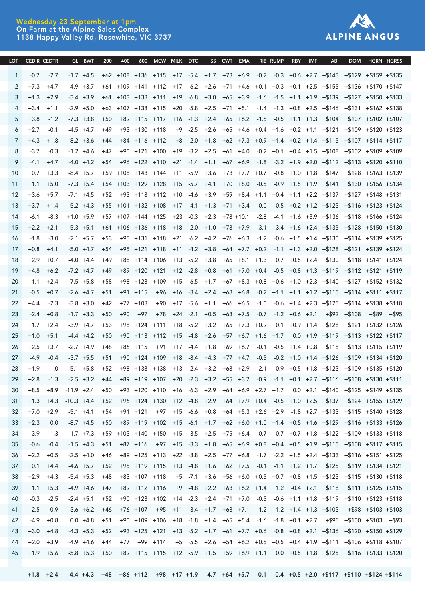#### Wednesday 23 September at 1pm On Farm at the Alpine Sales Complex 1138 Happy Valley Rd, Rosewhite, VIC 3737



| LOT CEDIR CEDTR |        |        |               |  |  | GL BWT 200 400 600 MCW MILK DTC SS CWT EMA RIB RUMP RBY IMF                                                                                 |  |  | ABI DOM HGRN HGRSS |  |
|-----------------|--------|--------|---------------|--|--|---------------------------------------------------------------------------------------------------------------------------------------------|--|--|--------------------|--|
|                 | $-0.7$ | $-2.7$ |               |  |  | -1.7 +4.5 +62 +108 +136 +115 +17 -5.4 +1.7 +73 +6.9 -0.2 -0.3 +0.6 +2.7 +\$143 +\$129 +\$159 +\$135                                         |  |  |                    |  |
|                 |        | $+4.7$ |               |  |  | -4.9 +3.7 +61 +109 +141 +112 +17 -6.2 +2.6 +71 +4.6 +0.1 +0.3 +0.1 +2.5 +\$155 +\$136 +\$170 +\$147                                         |  |  |                    |  |
|                 | $+1.3$ | $+2.9$ |               |  |  | -3.4 +3.9 +61 +103 +133 +111 +19 -6.8 +3.0 +65 +3.9 -1.6 -1.5 +1.1 +1.9 +\$139 +\$127 +\$150 +\$133                                         |  |  |                    |  |
|                 |        |        |               |  |  | +1.1 -2.9 +5.0 +63 +107 +138 +115 +20 -5.8 +2.5 +71 +5.1 -1.4 -1.3 +0.8 +2.5 +\$146 +\$131 +\$162 +\$138                                    |  |  |                    |  |
|                 |        |        |               |  |  | -1.2 -7.3 +3.8 +50 +89 +115 +117 +16 -1.3 +2.4 +65 +6.2 -1.5 -0.5 +1.1 +1.3 +\$104 +\$107 +\$102 +\$107                                     |  |  |                    |  |
|                 |        | $-0.1$ |               |  |  | -4.5 +4.7  +49  +93 +130 +118  +9 -2.5 +2.6 +65 +4.6 +0.4 +1.6 +0.2 +1.1 +\$121 +\$109 +\$120 +\$123                                        |  |  |                    |  |
|                 |        | $+1.8$ |               |  |  | -8.2 +3.6 +44 +84 +116 +112 +8 -2.0 +1.8 +62 +7.3 +0.9 +1.4 +0.2 +1.4 +\$115 +\$107 +\$114 +\$117                                           |  |  |                    |  |
|                 |        |        |               |  |  | -0.3 -1.2 +4.6 +47 +90 +121 +100 +19 -3.2 +2.5 +61 +4.0 -0.2 +0.1 +0.4 +1.5 +\$108 +\$102 +\$109 +\$109                                     |  |  |                    |  |
|                 |        |        |               |  |  | -4.0 +4.2 +54 +96 +122 +110 +21 -1.4 +1.1 +67 +6.9 -1.8 -3.2 +1.9 +2.0 +\$112 +\$113 +\$120 +\$110                                          |  |  |                    |  |
|                 | $+0.7$ | $+3.3$ |               |  |  | -8.4 +5.7 +59 +108 +143 +144 +11 -5.9 +3.6 +73 +7.7 +0.7 -0.8 +1.0 +1.8 +\$147 +\$128 +\$163 +\$139                                         |  |  |                    |  |
|                 |        |        |               |  |  | +5.0 -7.3 +5.4 +54 +103 +129 +128 +15 -5.7 +4.1 +70 +8.0 -0.5 -0.9 +1.5 +1.9 +\$141 +\$130 +\$156 +\$134                                    |  |  |                    |  |
|                 | $+3.6$ |        |               |  |  | +5.7 -7.1 +4.5 +52 +93 +118 +112 +10 -4.6 +3.9 +59 +8.4 +1.1 +0.4 +1.1 +2.2 +\$137 +\$127 +\$148 +\$131                                     |  |  |                    |  |
|                 |        |        |               |  |  | +1.4 -5.2 +4.3 +55 +101 +132 +108 +17 -4.1 +1.3 +71 +3.4 0.0 -0.5 +0.2 +1.2 +\$123 +\$116 +\$123 +\$124                                     |  |  |                    |  |
| 14              | -6.1   |        |               |  |  | -8.3 +1.0 +5.9 +57 +107 +144 +125 +23 -0.3 +2.3 +78 +10.1 -2.8 -4.1 +1.6 +3.9 +\$136 +\$118 +\$166 +\$124                                   |  |  |                    |  |
|                 |        |        |               |  |  | +2.1 -5.3 +5.1 +61 +106 +136 +118 +18 -2.0 +1.0 +78 +7.9 -3.1 -3.4 +1.6 +2.4 +\$135 +\$128 +\$150 +\$130                                    |  |  |                    |  |
|                 |        | $-3.0$ | $-2.1$ $+5.7$ |  |  | +53 +95 +131 +118 +21 -6.2 +4.2 +76 +6.3 -1.2 -0.6 +1.5 +1.4 +\$130 +\$114 +\$139 +\$125                                                    |  |  |                    |  |
|                 |        |        |               |  |  | +4.1 -5.0 +4.7 +54 +95 +121 +118 +11 -4.2 +3.8 +64 +7.7 +0.2 -1.1 +1.3 +2.0 +\$128 +\$121 +\$139 +\$124                                     |  |  |                    |  |
|                 |        | $+0.7$ | $-4.0$ $+4.4$ |  |  | +49 +88 +114 +106 +13 -5.2 +3.8 +65 +8.1 +1.3 +0.7 +0.5 +2.4 +\$130 +\$118 +\$141 +\$124                                                    |  |  |                    |  |
|                 | $+4.8$ |        |               |  |  | +6.2 -7.2 +4.7 +49 +89 +120 +121 +12 -2.8 +0.8 +61 +7.0 +0.4 -0.5 +0.8 +1.3 +\$119 +\$112 +\$121 +\$119                                     |  |  |                    |  |
| 20              | $-1.1$ |        |               |  |  | +2.4 -7.5 +5.8 +58 +98 +123 +109 +15 -6.5 +1.7 +67 +8.3 +0.8 +0.6 +1.0 +2.3 +\$140 +\$127 +\$152 +\$132                                     |  |  |                    |  |
|                 | $-0.5$ |        |               |  |  | +0.7 -2.6 +4.7 +51 +91 +115 +96 +16 -3.4 +2.4 +68 +6.8 -0.2 +1.1 +1.1 +1.2 +\$115 +\$114 +\$111 +\$117                                      |  |  |                    |  |
| 22              |        | $-2.3$ |               |  |  | -3.8 +3.0 +42 +77 +103 +90 +17 -5.6 +1.1 +66 +6.5 -1.0 -0.6 +1.4 +2.3 +\$125 +\$114 +\$138 +\$118                                           |  |  |                    |  |
| 23              | $-2.4$ |        |               |  |  | +0.8 -1.7 +3.3 +50 +90 +97 +78 +24 -2.1 +0.5 +63 +7.5 -0.7 -1.2 +0.6 +2.1 +\$92 +\$108 +\$89 +\$95                                          |  |  |                    |  |
|                 |        |        |               |  |  | +2.4 -3.9 +4.7 +53 +98 +124 +111 +18 -5.2 +3.2 +65 +7.3 +0.9 +0.1 +0.9 +1.4 +\$128 +\$121 +\$132 +\$126                                     |  |  |                    |  |
| 25              | $+1.0$ |        |               |  |  | +5.1 -4.4 +4.2 +50 +90 +113 +112 +15 -4.8 +2.6 +57 +6.7 +1.6 +1.7 0.0 +1.9 +\$119 +\$113 +\$122 +\$117                                      |  |  |                    |  |
|                 |        |        |               |  |  | +3.7 -2.7 +4.9 +48 +86 +115 +91 +17 -4.4 +1.8 +69 +6.7 -0.1 -0.5 +1.4 +0.8 +\$118 +\$113 +\$115 +\$119                                      |  |  |                    |  |
| -27             | $-4.9$ |        |               |  |  | $-0.4$ $-3.7$ $+5.5$ $+51$ $+90$ $+124$ $+109$ $+18$ $-8.4$ $+4.3$ $+77$ $+4.7$ $-0.5$ $-0.2$ $+1.0$ $+1.4$ $+5126$ $+5109$ $+5134$ $+5120$ |  |  |                    |  |
| 28              |        |        |               |  |  | +1.9 -1.0 -5.1 +5.8 +52 +98 +138 +138 +13 -2.4 +3.2 +68 +2.9 -2.1 -0.9 +0.5 +1.8 +\$123 +\$109 +\$135 +\$120                                |  |  |                    |  |
| 29 I            |        |        |               |  |  | +2.8 -1.3 -2.5 +3.2 +44 +89 +119 +107 +20 -2.3 +3.2 +55 +3.7 -0.9 -1.1 +0.1 +2.7 +\$116 +\$108 +\$130 +\$111                                |  |  |                    |  |
|                 |        |        |               |  |  | +8.5 +8.9 -11.9 +2.4 +50 +93 +120 +110 +16 -6.3 +2.9 +64 +6.9 +2.7 +1.7 0.0 +2.1 +\$140 +\$125 +\$149 +\$135                                |  |  |                    |  |
| 31              |        |        |               |  |  | +1.3 +4.3 -10.3 +4.4 +52 +96 +124 +130 +12 -4.8 +2.9 +64 +7.9 +0.4 -0.5 +1.0 +2.5 +\$137 +\$124 +\$155 +\$129                               |  |  |                    |  |
| 32              |        |        |               |  |  | +7.0 +2.9 -5.1 +4.1 +54 +91 +121 +97 +15 -6.6 +0.8 +64 +5.3 +2.6 +2.9 -1.8 +2.7 +\$133 +\$115 +\$140 +\$128                                 |  |  |                    |  |
| 33              | $+2.3$ |        |               |  |  | 0.0 -8.7 +4.5 +50 +89 +119 +102 +15 -6.1 +1.7 +62 +6.0 +1.0 +1.4 +0.5 +1.6 +\$129 +\$116 +\$133 +\$126                                      |  |  |                    |  |
| 34              | -3.9   |        |               |  |  | -1.3 -1.7 +7.3 +59 +103 +140 +150 +15 -3.5 +2.5 +75 +6.4 -0.7 -0.7 +0.7 +1.8 +\$122 +\$109 +\$133 +\$118                                    |  |  |                    |  |
| 35              | -0.6   |        |               |  |  | -0.4 -1.5 +4.3 +51 +87 +116 +97 +15 -3.3 +1.8 +65 +6.9 +0.8 +0.4 +0.5 +1.9 +\$115 +\$108 +\$117 +\$115                                      |  |  |                    |  |
| 36              | $+2.2$ |        |               |  |  | +0.5 -2.5 +4.0 +46 +89 +125 +113 +22 -3.8 +2.5 +77 +6.8 -1.7 -2.2 +1.5 +2.4 +\$133 +\$116 +\$151 +\$125                                     |  |  |                    |  |
| 37              | $+0.1$ |        |               |  |  | +4.4 -4.6 +5.7 +52 +95 +119 +115 +13 -4.8 +1.6 +62 +7.5 -0.1 -1.1 +1.2 +1.7 +\$125 +\$119 +\$134 +\$121                                     |  |  |                    |  |
| 38              | $+2.9$ |        |               |  |  | +4.3 -5.4 +5.3 +48 +83 +107 +118 +5 -7.1 +3.6 +56 +6.0 +0.5 +0.7 +0.8 +1.5 +\$123 +\$115 +\$130 +\$118                                      |  |  |                    |  |
| 39              | $+1.1$ |        |               |  |  | +5.3 -4.9 +4.6 +47 +89 +112 +116 +9 -4.8 +2.2 +63 +6.2 +1.4 +1.2 -0.4 +2.1 +\$118 +\$111 +\$125 +\$115                                      |  |  |                    |  |
| 40              | $-0.3$ |        |               |  |  | -2.5 -2.4 +5.1 +52 +90 +123 +102 +14 -2.3 +2.4 +71 +7.0 -0.5 -0.6 +1.1 +1.8 +\$119 +\$110 +\$123 +\$118                                     |  |  |                    |  |
| 41              | $-2.5$ |        |               |  |  | $-0.9$ $-3.6$ +6.2 +46 +76 +107 +95 +11 -3.4 +1.7 +63 +7.1 -1.2 -1.2 +1.4 +1.3 +\$103 +\$98 +\$103 +\$103                                   |  |  |                    |  |
| 42              | -4.9   | $+0.8$ |               |  |  | 0.0 +4.8 +51 +90 +109 +106 +18 -1.8 +1.4 +65 +5.4 -1.6 -1.8 +0.1 +2.7 +\$95 +\$100 +\$103 +\$93                                             |  |  |                    |  |
| 43              |        |        |               |  |  | +3.0 +4.8 -4.3 +5.3 +52 +93 +125 +121 +13 -5.2 +1.7 +61 +7.7 +0.6 -0.8 +0.8 +2.1 +\$136 +\$120 +\$150 +\$129                                |  |  |                    |  |
| 44              |        |        |               |  |  | +2.0 +3.9 -4.9 +4.6 +44 +77 +99 +114 +5 -5.5 +2.6 +54 +6.2 +0.5 +0.5 +0.4 +1.9 +\$111 +\$106 +\$118 +\$107                                  |  |  |                    |  |
|                 |        |        |               |  |  | 45 +1.9 +5.6 -5.8 +5.3 +50 +89 +115 +115 +12 -5.9 +1.5 +59 +6.9 +1.1 0.0 +0.5 +1.8 +\$125 +\$116 +\$133 +\$120                              |  |  |                    |  |
|                 |        |        |               |  |  |                                                                                                                                             |  |  |                    |  |

EBV REFERENCE TABLES AUGUST 2020 +1.8 +2.4 -4.4 +4.3 +48 +86 +112 +98 +17 +1.9 -4.7 +64 +5.7 -0.1 -0.4 +0.5 +2.0 +\$117 +\$110 +\$124 +\$114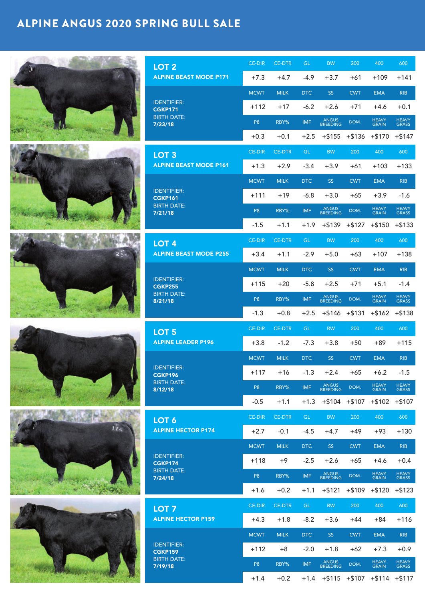# ALPINE ANGUS 2020 SPRING BULL SALE

|                 | LOT <sub>2</sub>                     | <b>CE-DIR</b>  | <b>CE-DTR</b> | GL.        | <b>BW</b>         | 200        | 400                           | 600            |
|-----------------|--------------------------------------|----------------|---------------|------------|-------------------|------------|-------------------------------|----------------|
|                 | <b>ALPINE BEAST MODE P171</b>        | $+7.3$         | $+4.7$        | $-4.9$     | $+3.7$            | $+61$      | $+109$                        | $+141$         |
|                 |                                      | <b>MCWT</b>    | <b>MILK</b>   | DTC        | <b>SS</b>         | <b>CWT</b> | <b>EMA</b>                    | <b>RIB</b>     |
|                 | <b>IDENTIFIER:</b><br><b>CGKP171</b> | $+112$         | $+17$         | $-6.2$     | $+2.6$            | $+71$      | $+4.6$                        | $+0.1$         |
|                 | <b>BIRTH DATE:</b><br>7/23/18        | P <sub>8</sub> | RBY%          | <b>IMF</b> | ANGUS<br>BREEDING | DOM.       | HEAVY<br>GRAIN                | HEAVY<br>GRASS |
|                 |                                      | $+0.3$         | $+0.1$        | $+2.5$     | $+ $155$          | $+ $136$   | $+ $170$                      | $+ $147$       |
|                 | LOT <sub>3</sub>                     | <b>CE-DIR</b>  | <b>CE-DTR</b> | GL.        | <b>BW</b>         | 200        | 400                           | 600            |
|                 | <b>ALPINE BEAST MODE P161</b>        | $+1.3$         | $+2.9$        | $-3.4$     | $+3.9$            | $+61$      | $+103$                        | $+133$         |
|                 |                                      | <b>MCWT</b>    | <b>MILK</b>   | <b>DTC</b> | <b>SS</b>         | <b>CWT</b> | <b>EMA</b>                    | <b>RIB</b>     |
|                 | <b>IDENTIFIER:</b><br><b>CGKP161</b> | $+111$         | $+19$         | $-6.8$     | $+3.0$            | $+65$      | $+3.9$                        | $-1.6$         |
|                 | <b>BIRTH DATE:</b><br>7/21/18        | P <sub>8</sub> | RBY%          | <b>IMF</b> | ANGUS<br>BREEDING | DOM.       | HEAVY<br>GRAIN                | HEAVY<br>GRASS |
|                 |                                      | $-1.5$         | $+1.1$        | $+1.9$     | $+ $139$          | $+ $127$   | $+ $150$                      | $+ $133$       |
|                 | LOT <sub>4</sub>                     | <b>CE-DIR</b>  | <b>CE-DTR</b> | GL.        | <b>BW</b>         | 200        | 400                           | 600            |
|                 | <b>ALPINE BEAST MODE P255</b>        | $+3.4$         | $+1.1$        | $-2.9$     | $+5.0$            | $+63$      | $+107$                        | $+138$         |
|                 |                                      | <b>MCWT</b>    | <b>MILK</b>   | DTC        | <b>SS</b>         | <b>CWT</b> | <b>EMA</b>                    | <b>RIB</b>     |
|                 | <b>IDENTIFIER:</b><br><b>CGKP255</b> | $+115$         | $+20$         | $-5.8$     | $+2.5$            | $+71$      | $+5.1$                        | $-1.4$         |
|                 | <b>BIRTH DATE:</b><br>8/21/18        | P <sub>8</sub> | RBY%          | <b>IMF</b> | ANGUS<br>BREEDING | DOM.       | <b>HEAVY</b><br><b>GRAIN</b>  | HEAVY<br>GRASS |
|                 |                                      | $-1.3$         | $+0.8$        | $+2.5$     | $+ $146$          | $+ $131$   | $+ $162 + $138$               |                |
|                 | LOT <sub>5</sub>                     | <b>CE-DIR</b>  | <b>CE-DTR</b> | GL.        | <b>BW</b>         | 200        | 400                           | 600            |
|                 | <b>ALPINE LEADER P196</b>            | $+3.8$         | $-1.2$        | $-7.3$     | $+3.8$            | $+50$      | $+89$                         | $+115$         |
|                 | <b>IDENTIFIER:</b>                   | <b>MCWT</b>    | <b>MILK</b>   | DTC        | SS <sub>1</sub>   | <b>CWT</b> | <b>EMA</b>                    | <b>RIB</b>     |
|                 | CGKP196<br><b>BIRTH DATE:</b>        | $+117$         | $+16$         | $-1.3$     | $+2.4$            | $+65$      | $+6.2$                        | $-1.5$         |
|                 | 8/12/18                              | P <sub>8</sub> | RBY%          | <b>IMF</b> | ANGUS<br>BREEDING | DOM.       | HEAVY<br>GRAIN                | HEAVY<br>GRASS |
|                 |                                      | $-0.5$         | $+1.1$        | $+1.3$     | $+ $104$          | $+ $107$   | $+ $102$                      | $+ $107$       |
|                 | LOT <sub>6</sub>                     | <b>CE-DIR</b>  | <b>CE-DTR</b> | GL.        | <b>BW</b>         | 200        | 400                           | 600            |
| 17 <sub>4</sub> | <b>ALPINE HECTOR P174</b>            | $+2.7$         | $-0.1$        | $-4.5$     | $+4.7$            | $+49$      | $+93$                         | $+130$         |
|                 | <b>IDENTIFIER:</b>                   | <b>MCWT</b>    | <b>MILK</b>   | <b>DTC</b> | <b>SS</b>         | <b>CWT</b> | <b>EMA</b>                    | RIB            |
|                 | <b>CGKP174</b><br><b>BIRTH DATE:</b> | $+118$         | $+9$          | $-2.5$     | $+2.6$            | $+65$      | $+4.6$                        | $+0.4$         |
|                 | 7/24/18                              | P <sub>8</sub> | RBY%          | <b>IMF</b> | ANGUS<br>BREEDING | DOM.       | HEAVY<br>GRAIN                | HEAVY<br>GRASS |
|                 |                                      | $+1.6$         | $+0.2$        | $+1.1$     | $+ $121$          | $+ $109$   | $+ $120$                      | $+ $123$       |
|                 | LOT <sub>7</sub>                     | <b>CE-DIR</b>  | <b>CE-DTR</b> | GL.        | <b>BW</b>         | 200        | 400                           | 600            |
|                 | <b>ALPINE HECTOR P159</b>            | $+4.3$         | $+1.8$        | $-8.2$     | $+3.6$            | $+44$      | $+84$                         | $+116$         |
|                 | <b>IDENTIFIER:</b>                   | <b>MCWT</b>    | <b>MILK</b>   | <b>DTC</b> | SS <sub>1</sub>   | <b>CWT</b> | <b>EMA</b>                    | <b>RIB</b>     |
|                 | <b>CGKP159</b><br><b>BIRTH DATE:</b> | $+112$         | $+8$          | $-2.0$     | $+1.8$            | $+62$      | $+7.3$                        | $+0.9$         |
|                 | 7/19/18                              | P <sub>8</sub> | RBY%          | <b>IMF</b> | ANGUS<br>BREEDING | DOM.       | HEAVY<br>GRAIN                | HEAVY<br>GRASS |
|                 |                                      | $+1.4$         | $+0.2$        | $+1.4$     |                   |            | $+ $115 + $107 + $114 + $117$ |                |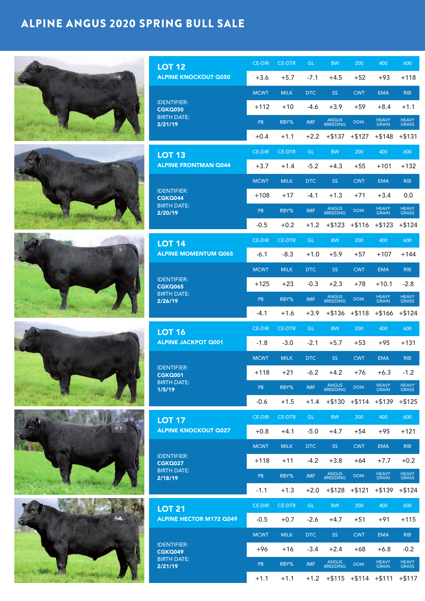# ALPINE ANGUS 2020 SPRING BULL SALE

| <b>LOT 12</b>                        | <b>CE-DIR</b>  | <b>CE-DTR</b> | GL.        | <b>BW</b>                      | 200        | 400            | 600            |
|--------------------------------------|----------------|---------------|------------|--------------------------------|------------|----------------|----------------|
| <b>ALPINE KNOCKOUT Q050</b>          | $+3.6$         | $+5.7$        | $-7.1$     | $+4.5$                         | $+52$      | $+93$          | $+118$         |
|                                      | <b>MCWT</b>    | <b>MILK</b>   | <b>DTC</b> | <b>SS</b>                      | <b>CWT</b> | <b>EMA</b>     | <b>RIB</b>     |
| <b>IDENTIFIER:</b><br><b>CGKQ050</b> | $+112$         | $+10$         | $-4.6$     | $+3.9$                         | $+59$      | $+8.4$         | $+1.1$         |
| <b>BIRTH DATE:</b><br>2/21/19        | P <sub>8</sub> | RBY%          | <b>IMF</b> | ANGUS<br>BREEDING              | DOM.       | HEAVY<br>GRAIN | HEAVY<br>GRASS |
|                                      | $+0.4$         | $+1.1$        |            | $+2.2$ $+5137$ $+5127$         |            | $+ $148$       | $+ $131$       |
| <b>LOT 13</b>                        | <b>CE-DIR</b>  | <b>CE-DTR</b> | GL.        | <b>BW</b>                      | 200        | 400            | 600            |
| <b>ALPINE FRONTMAN Q044</b>          | $+3.7$         | $+1.4$        | $-5.2$     | $+4.3$                         | $+55$      | $+101$         | $+132$         |
|                                      | <b>MCWT</b>    | <b>MILK</b>   | <b>DTC</b> | SS <sub>1</sub>                | <b>CWT</b> | <b>EMA</b>     | <b>RIB</b>     |
| <b>IDENTIFIER:</b><br><b>CGKQ044</b> | $+108$         | $+17$         | $-4.1$     | $+1.3$                         | $+71$      | $+3.4$         | 0.0            |
| <b>BIRTH DATE:</b><br>2/20/19        | P <sub>8</sub> | RBY%          | <b>IMF</b> | ANGUS<br>BREEDING              | DOM.       | HEAVY<br>GRAIN | HEAVY<br>GRASS |
|                                      | $-0.5$         | $+0.2$        | $+1.2$     | $+ $123$                       | $+ $116$   | $+ $123$       | $+ $124$       |
| <b>LOT 14</b>                        | <b>CE-DIR</b>  | <b>CE-DTR</b> | <b>GL</b>  | <b>BW</b>                      | 200        | 400            | 600            |
| <b>ALPINE MOMENTUM Q065</b>          | $-6.1$         | $-8.3$        | $+1.0$     | $+5.9$                         | $+57$      | $+107$         | $+144$         |
|                                      | <b>MCWT</b>    | <b>MILK</b>   | DTC        | <b>SS</b>                      | <b>CWT</b> | <b>EMA</b>     | <b>RIB</b>     |
| <b>IDENTIFIER:</b><br><b>CGKQ065</b> | $+125$         | $+23$         | $-0.3$     | $+2.3$                         | $+78$      | $+10.1$        | $-2.8$         |
| <b>BIRTH DATE:</b><br>2/26/19        | P <sub>8</sub> | RBY%          | <b>IMF</b> | ANGUS<br>BREEDING              | DOM.       | HEAVY<br>GRAIN | HEAVY<br>GRASS |
|                                      | $-4.1$         | $+1.6$        | $+3.9$     | $+ $136$                       | $+ $118$   | $+ $166$       | $+ $124$       |
| <b>LOT 16</b>                        | <b>CE-DIR</b>  | <b>CE-DTR</b> | <b>GL</b>  | <b>BW</b>                      | 200        | 400            | 600            |
| <b>ALPINE JACKPOT Q001</b>           | $-1.8$         | $-3.0$        | $-2.1$     | $+5.7$                         | $+53$      | $+95$          | $+131$         |
|                                      | <b>MCWT</b>    | <b>MILK</b>   | <b>DTC</b> | SS <sub>1</sub>                | <b>CWT</b> | <b>EMA</b>     | <b>RIB</b>     |
| <b>IDENTIFIER:</b><br><b>CGKQ001</b> | $+118$         | $+21$         | $-6.2$     | $+4.2$                         | $+76$      | $+6.3$         | $-1.2$         |
| <b>BIRTH DATE:</b><br>1/5/19         | P <sub>8</sub> | RBY%          | <b>IMF</b> | ANGUS<br>BREEDING              | DOM.       | HEAVY<br>GRAIN | HEAVY<br>GRASS |
|                                      | $-0.6$         | $+1.5$        | $+1.4$     | $+ $130 + $114$                |            | $+ $139$       | $+ $125$       |
| <b>LOT 17</b>                        | <b>CE-DIR</b>  | <b>CE-DTR</b> | GL.        | <b>BW</b>                      | 200        | 400            | 600            |
| <b>ALPINE KNOCKOUT Q027</b>          | $+0.8$         | $+4.1$        | $-5.0$     | $+4.7$                         | $+54$      | $+95$          | $+121$         |
|                                      | <b>MCWT</b>    | <b>MILK</b>   | DTC        | SS <sub>1</sub>                | <b>CWT</b> | <b>EMA</b>     | <b>RIB</b>     |
| <b>IDENTIFIER:</b><br><b>CGKQ027</b> | $+118$         | $+11$         | $-4.2$     | $+3.8$                         | $+64$      | $+7.7$         | $+0.2$         |
| <b>BIRTH DATE:</b><br>2/18/19        | P <sub>8</sub> | RBY%          | <b>IMF</b> | ANGUS<br>BREEDING              | DOM.       | HEAVY<br>GRAIN | HEAVY<br>GRASS |
|                                      | $-1.1$         | $+1.3$        | $+2.0$     | $+ $128$                       | $+ $121$   | $+ $139$       | $+ $124$       |
| <b>LOT 21</b>                        | <b>CE-DIR</b>  | <b>CE-DTR</b> | GL.        | <b>BW</b>                      | 200        | 400            | 600            |
| <b>ALPINE HECTOR M172 Q049</b>       | $-0.5$         | $+0.7$        | $-2.6$     | $+4.7$                         | $+51$      | $+91$          | $+115$         |
|                                      | <b>MCWT</b>    | <b>MILK</b>   | <b>DTC</b> | <b>SS</b>                      | <b>CWT</b> | <b>EMA</b>     | <b>RIB</b>     |
| <b>IDENTIFIER:</b><br><b>CGKQ049</b> | +96            | +16           | $-3.4$     | $+2.4$                         | $+68$      | $+6.8$         | $-0.2$         |
| <b>BIRTH DATE:</b><br>2/21/19        | P <sub>8</sub> | RBY%          | <b>IMF</b> | ANGUS<br>BREEDING              | DOM.       | HEAVY<br>GRAIN | HEAVY<br>GRASS |
|                                      | $+1.1$         | $+1.1$        |            | $+1.2$ $+5115$ $+5114$ $+5111$ |            |                | $+$ \$117      |